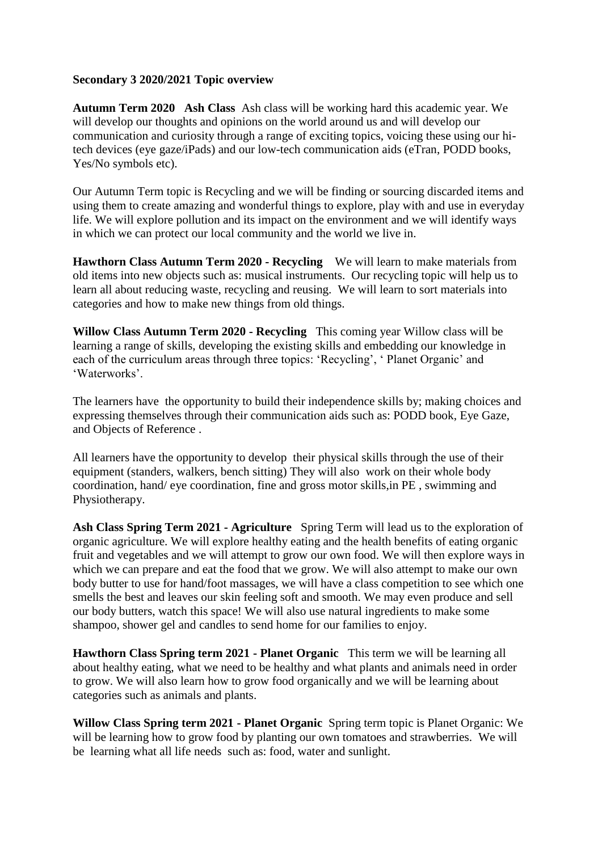## **Secondary 3 2020/2021 Topic overview**

**Autumn Term 2020 Ash Class** Ash class will be working hard this academic year. We will develop our thoughts and opinions on the world around us and will develop our communication and curiosity through a range of exciting topics, voicing these using our hitech devices (eye gaze/iPads) and our low-tech communication aids (eTran, PODD books, Yes/No symbols etc).

Our Autumn Term topic is Recycling and we will be finding or sourcing discarded items and using them to create amazing and wonderful things to explore, play with and use in everyday life. We will explore pollution and its impact on the environment and we will identify ways in which we can protect our local community and the world we live in.

**Hawthorn Class Autumn Term 2020 - Recycling** We will learn to make materials from old items into new objects such as: musical instruments.Our recycling topic will help us to learn all about reducing waste, recycling and reusing. We will learn to sort materials into categories and how to make new things from old things.

**Willow Class Autumn Term 2020 - Recycling** This coming year Willow class will be learning a range of skills, developing the existing skills and embedding our knowledge in each of the curriculum areas through three topics: 'Recycling', ' Planet Organic' and 'Waterworks'.

The learners have the opportunity to build their independence skills by; making choices and expressing themselves through their communication aids such as: PODD book, Eye Gaze, and Objects of Reference .

All learners have the opportunity to develop their physical skills through the use of their equipment (standers, walkers, bench sitting) They will also work on their whole body coordination, hand/ eye coordination, fine and gross motor skills,in PE , swimming and Physiotherapy.

**Ash Class Spring Term 2021 - Agriculture** Spring Term will lead us to the exploration of organic agriculture. We will explore healthy eating and the health benefits of eating organic fruit and vegetables and we will attempt to grow our own food. We will then explore ways in which we can prepare and eat the food that we grow. We will also attempt to make our own body butter to use for hand/foot massages, we will have a class competition to see which one smells the best and leaves our skin feeling soft and smooth. We may even produce and sell our body butters, watch this space! We will also use natural ingredients to make some shampoo, shower gel and candles to send home for our families to enjoy.

**Hawthorn Class Spring term 2021 - Planet Organic** This term we will be learning all about healthy eating, what we need to be healthy and what plants and animals need in order to grow. We will also learn how to grow food organically and we will be learning about categories such as animals and plants.

**Willow Class Spring term 2021 - Planet Organic** Spring term topic is Planet Organic: We will be learning how to grow food by planting our own tomatoes and strawberries. We will be learning what all life needs such as: food, water and sunlight.